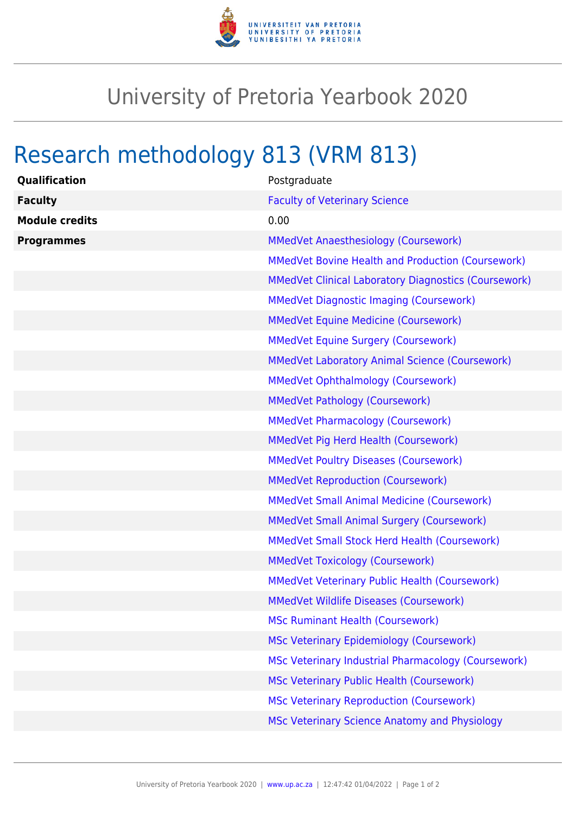

## University of Pretoria Yearbook 2020

## Research methodology 813 (VRM 813)

| Qualification         | Postgraduate                                                |
|-----------------------|-------------------------------------------------------------|
| <b>Faculty</b>        | <b>Faculty of Veterinary Science</b>                        |
| <b>Module credits</b> | 0.00                                                        |
| <b>Programmes</b>     | <b>MMedVet Anaesthesiology (Coursework)</b>                 |
|                       | <b>MMedVet Bovine Health and Production (Coursework)</b>    |
|                       | <b>MMedVet Clinical Laboratory Diagnostics (Coursework)</b> |
|                       | <b>MMedVet Diagnostic Imaging (Coursework)</b>              |
|                       | <b>MMedVet Equine Medicine (Coursework)</b>                 |
|                       | <b>MMedVet Equine Surgery (Coursework)</b>                  |
|                       | <b>MMedVet Laboratory Animal Science (Coursework)</b>       |
|                       | <b>MMedVet Ophthalmology (Coursework)</b>                   |
|                       | <b>MMedVet Pathology (Coursework)</b>                       |
|                       | <b>MMedVet Pharmacology (Coursework)</b>                    |
|                       | MMedVet Pig Herd Health (Coursework)                        |
|                       | <b>MMedVet Poultry Diseases (Coursework)</b>                |
|                       | <b>MMedVet Reproduction (Coursework)</b>                    |
|                       | <b>MMedVet Small Animal Medicine (Coursework)</b>           |
|                       | <b>MMedVet Small Animal Surgery (Coursework)</b>            |
|                       | <b>MMedVet Small Stock Herd Health (Coursework)</b>         |
|                       | <b>MMedVet Toxicology (Coursework)</b>                      |
|                       | <b>MMedVet Veterinary Public Health (Coursework)</b>        |
|                       | <b>MMedVet Wildlife Diseases (Coursework)</b>               |
|                       | <b>MSc Ruminant Health (Coursework)</b>                     |
|                       | <b>MSc Veterinary Epidemiology (Coursework)</b>             |
|                       | MSc Veterinary Industrial Pharmacology (Coursework)         |
|                       | <b>MSc Veterinary Public Health (Coursework)</b>            |
|                       | <b>MSc Veterinary Reproduction (Coursework)</b>             |
|                       | MSc Veterinary Science Anatomy and Physiology               |
|                       |                                                             |